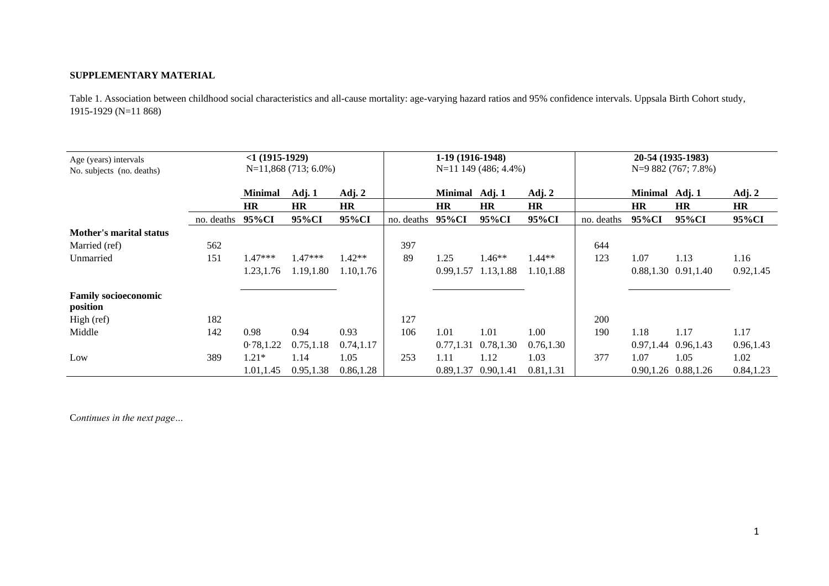## **SUPPLEMENTARY MATERIAL**

Table 1. Association between childhood social characteristics and all-cause mortality: age-varying hazard ratios and 95% confidence intervals. Uppsala Birth Cohort study, 1915-1929 (N=11 868)

| Age (years) intervals<br>No. subjects (no. deaths) | $<1(1915-1929)$<br>$N=11,868(713; 6.0\%)$ |                |            |           | 1-19 (1916-1948)<br>$N=11$ 149 (486; 4.4%) |                |                         |           | 20-54 (1935-1983)<br>$N=9882(767; 7.8\%)$ |                |                           |            |  |
|----------------------------------------------------|-------------------------------------------|----------------|------------|-----------|--------------------------------------------|----------------|-------------------------|-----------|-------------------------------------------|----------------|---------------------------|------------|--|
|                                                    |                                           | <b>Minimal</b> | Adj. 1     | Adj. 2    |                                            | Minimal Adj. 1 |                         | Adj. 2    |                                           | Minimal Adj. 1 |                           | Adj. 2     |  |
|                                                    |                                           | <b>HR</b>      | <b>HR</b>  | <b>HR</b> |                                            | <b>HR</b>      | HR                      | <b>HR</b> |                                           | <b>HR</b>      | HR                        | <b>HR</b>  |  |
|                                                    | no. deaths                                | 95%CI          | 95%CI      | 95%CI     | no. deaths                                 | 95%CI          | 95%CI                   | 95%CI     | no. deaths                                | 95%CI          | 95%CI                     | 95%CI      |  |
| <b>Mother's marital status</b>                     |                                           |                |            |           |                                            |                |                         |           |                                           |                |                           |            |  |
| Married (ref)                                      | 562                                       |                |            |           | 397                                        |                |                         |           | 644                                       |                |                           |            |  |
| Unmarried                                          | 151                                       | $1.47***$      | $1.47***$  | $1.42**$  | 89                                         | 1.25           | 1.46**                  | $1.44**$  | 123                                       | 1.07           | 1.13                      | 1.16       |  |
|                                                    |                                           | 1.23,1.76      | 1.19,1.80  | 1.10,1.76 |                                            | 0.99, 1.57     | 1.13,1.88               | 1.10,1.88 |                                           |                | $0.88, 1.30$ $0.91, 1.40$ | 0.92, 1.45 |  |
| <b>Family socioeconomic</b><br>position            |                                           |                |            |           |                                            |                |                         |           |                                           |                |                           |            |  |
| High (ref)                                         | 182                                       |                |            |           | 127                                        |                |                         |           | 200                                       |                |                           |            |  |
| Middle                                             | 142                                       | 0.98           | 0.94       | 0.93      | 106                                        | 1.01           | 1.01                    | 1.00      | 190                                       | 1.18           | 1.17                      | 1.17       |  |
|                                                    |                                           | 0.78, 1.22     | 0.75, 1.18 | 0.74,1.17 |                                            | 0.77, 1.31     | 0.78,1.30               | 0.76,1.30 |                                           |                | 0.97, 1.44 0.96, 1.43     | 0.96,1.43  |  |
| Low                                                | 389                                       | $1.21*$        | 1.14       | 1.05      | 253                                        | 1.11           | 1.12                    | 1.03      | 377                                       | 1.07           | 1.05                      | 1.02       |  |
|                                                    |                                           | 1.01,1.45      | 0.95,1.38  | 0.86,1.28 |                                            |                | $0.89,1.37$ $0.90,1.41$ | 0.81,1.31 |                                           |                | 0.90, 1.26 0.88, 1.26     | 0.84, 1.23 |  |

C*ontinues in the next page…*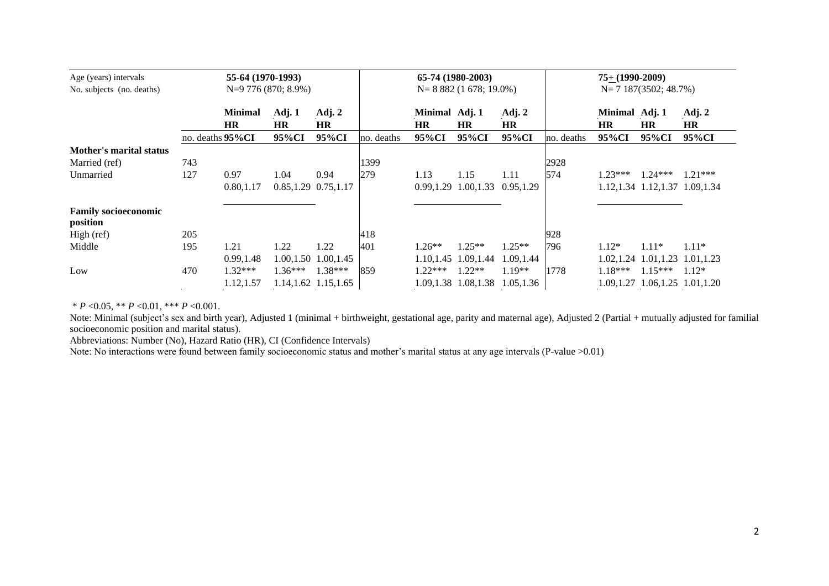| Age (years) intervals<br>No. subjects (no. deaths) |                  | 55-64 (1970-1993) | $N=9$ 776 (870; 8.9%)     |                       | 65-74 (1980-2003)<br>$N=8882(1678; 19.0\%)$ |                |                           |            |            | $75+ (1990-2009)$<br>$N=7$ 187(3502; 48.7%) |                                  |           |  |
|----------------------------------------------------|------------------|-------------------|---------------------------|-----------------------|---------------------------------------------|----------------|---------------------------|------------|------------|---------------------------------------------|----------------------------------|-----------|--|
|                                                    |                  | <b>Minimal</b>    | Adj. $1$                  | Adj. 2                |                                             | Minimal Adj. 1 |                           | Adj. $2$   |            | Minimal Adj. 1                              |                                  | Adj. $2$  |  |
|                                                    |                  | <b>HR</b>         | <b>HR</b>                 | <b>HR</b>             |                                             | <b>HR</b>      | <b>HR</b>                 | <b>HR</b>  |            | <b>HR</b>                                   | <b>HR</b>                        | <b>HR</b> |  |
|                                                    | no. deaths 95%CI |                   | 95%CI                     | 95%CI                 | no. deaths                                  | 95%CI          | 95%CI                     | 95%CI      | no. deaths | 95%CI                                       | 95%CI                            | 95%CI     |  |
| <b>Mother's marital status</b>                     |                  |                   |                           |                       |                                             |                |                           |            |            |                                             |                                  |           |  |
| Married (ref)                                      | 743              |                   |                           |                       | 1399                                        |                |                           |            | 2928       |                                             |                                  |           |  |
| Unmarried                                          | 127              | 0.97              | 1.04                      | 0.94                  | 279                                         | 1.13           | 1.15                      | 1.11       | 574        | $1.23***$                                   | $1.24***$                        | $1.21***$ |  |
|                                                    |                  | 0.80, 1.17        | $0.85, 1.29$ $0.75, 1.17$ |                       |                                             |                | $0.99, 1.29$ $1.00, 1.33$ | 0.95,1.29  |            |                                             | 1.12, 1.34 1.12, 1.37 1.09, 1.34 |           |  |
| <b>Family socioeconomic</b><br>position            |                  |                   |                           |                       |                                             |                |                           |            |            |                                             |                                  |           |  |
| High (ref)                                         | 205              |                   |                           |                       | 418                                         |                |                           |            | 928        |                                             |                                  |           |  |
| Middle                                             | 195              | 1.21              | 1.22                      | 1.22                  | 401                                         | $1.26**$       | $1.25**$                  | $1.25**$   | 796        | $1.12*$                                     | $1.11*$                          | $1.11*$   |  |
|                                                    |                  | 0.99.1.48         |                           | 1.00, 1.50 1.00, 1.45 |                                             | 1.10.1.45      | 1.09,1.44                 | 1.09, 1.44 |            |                                             | 1.02, 1.24 1.01, 1.23 1.01, 1.23 |           |  |
| Low                                                | 470              | 1.32***           | $1.36***$                 | $1.38***$             | 859                                         | $1.22***$      | $1.22**$                  | 1.19**     | 1778       | $1.18***$                                   | $1.15***$                        | $1.12*$   |  |
|                                                    |                  | 1.12,1.57         |                           | 1.14, 1.62 1.15, 1.65 |                                             |                | 1.09, 1.38 1.08, 1.38     | 1.05.1.36  |            |                                             | 1.09, 1.27 1.06, 1.25 1.01, 1.20 |           |  |

\* *P* <0.05, \*\* *P* <0.01, \*\*\* *P* <0.001.

Note: Minimal (subject's sex and birth year), Adjusted 1 (minimal + birthweight, gestational age, parity and maternal age), Adjusted 2 (Partial + mutually adjusted for familial socioeconomic position and marital status).

Abbreviations: Number (No), Hazard Ratio (HR), CI (Confidence Intervals)

Note: No interactions were found between family socioeconomic status and mother's marital status at any age intervals (P-value >0.01)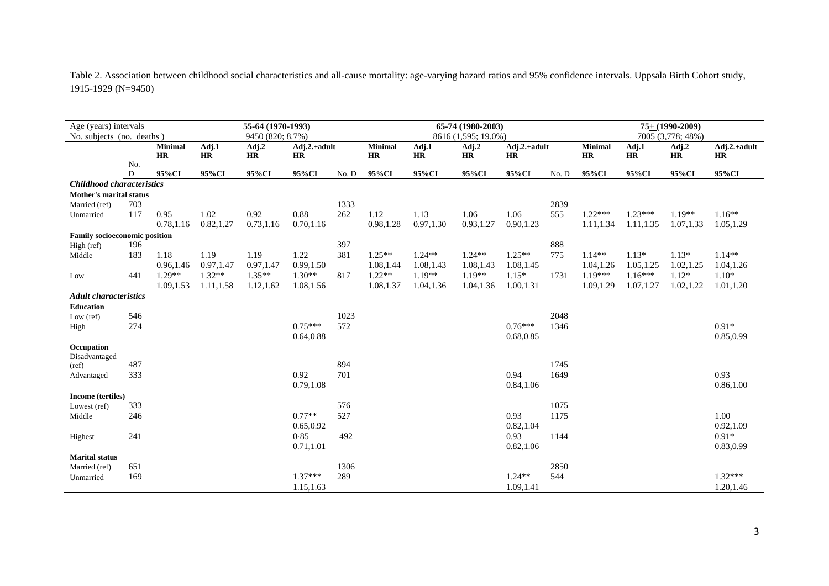Table 2. Association between childhood social characteristics and all-cause mortality: age-varying hazard ratios and 95% confidence intervals. Uppsala Birth Cohort study, 1915-1929 (N=9450)

| Age (years) intervals<br>55-64 (1970-1993) |     |                      |                  |           |                           |                     | 65-74 (1980-2003)           |             | $75+ (1990-2009)$  |                      |                   |                |             |                    |                             |
|--------------------------------------------|-----|----------------------|------------------|-----------|---------------------------|---------------------|-----------------------------|-------------|--------------------|----------------------|-------------------|----------------|-------------|--------------------|-----------------------------|
| No. subjects (no. deaths)                  |     |                      | 9450 (820; 8.7%) |           |                           | 8616 (1,595; 19.0%) |                             |             |                    |                      | 7005 (3,778; 48%) |                |             |                    |                             |
|                                            |     | <b>Minimal</b><br>HR | Adj.1<br>HR      | Adj.2     | Adj.2.+adult<br><b>HR</b> |                     | <b>Minimal</b><br><b>HR</b> | Adj.1<br>HR | Adj.2<br><b>HR</b> | $Adj.2.+adult$<br>HR |                   | <b>Minimal</b> | Adj.1<br>HR | Adj.2<br><b>HR</b> | $Adj.2.+adult$<br><b>HR</b> |
|                                            | No. |                      |                  | <b>HR</b> |                           |                     |                             |             |                    |                      |                   | <b>HR</b>      |             |                    |                             |
|                                            | D   | 95%CI                | 95%CI            | 95%CI     | 95%CI                     | No.D                | 95%CI                       | 95%CI       | 95%CI              | 95%CI                | No.D              | 95%CI          | 95%CI       | 95%CI              | 95%CI                       |
| Childhood characteristics                  |     |                      |                  |           |                           |                     |                             |             |                    |                      |                   |                |             |                    |                             |
| Mother's marital status                    |     |                      |                  |           |                           |                     |                             |             |                    |                      |                   |                |             |                    |                             |
| Married (ref)                              | 703 |                      |                  |           |                           | 1333                |                             |             |                    |                      | 2839              |                |             |                    |                             |
| Unmarried                                  | 117 | 0.95                 | 1.02             | 0.92      | 0.88                      | 262                 | 1.12                        | 1.13        | 1.06               | 1.06                 | 555               | $1.22***$      | $1.23***$   | $1.19**$           | $1.16**$                    |
|                                            |     | 0.78,1.16            | 0.82,1.27        | 0.73,1.16 | 0.70, 1.16                |                     | 0.98,1.28                   | 0.97, 1.30  | 0.93,1.27          | 0.90,1.23            |                   | 1.11,1.34      | 1.11,1.35   | 1.07,1.33          | 1.05,1.29                   |
| <b>Family socioeconomic position</b>       |     |                      |                  |           |                           |                     |                             |             |                    |                      |                   |                |             |                    |                             |
| High (ref)                                 | 196 |                      |                  |           |                           | 397                 |                             |             |                    |                      | 888               |                |             |                    |                             |
| Middle                                     | 183 | 1.18                 | 1.19             | 1.19      | 1.22                      | 381                 | $1.25**$                    | $1.24**$    | $1.24**$           | $1.25**$             | 775               | $1.14**$       | $1.13*$     | $1.13*$            | $1.14**$                    |
|                                            |     | 0.96,1.46            | 0.97,1.47        | 0.97,1.47 | 0.99,1.50                 |                     | 1.08,1.44                   | 1.08,1.43   | 1.08,1.43          | 1.08, 1.45           |                   | 1.04, 1.26     | 1.05, 1.25  | 1.02, 1.25         | 1.04,1.26                   |
| Low                                        | 441 | $1.29**$             | $1.32**$         | $1.35**$  | $1.30**$                  | 817                 | $1.22**$                    | $1.19**$    | $1.19**$           | $1.15*$              | 1731              | 1.19***        | $1.16***$   | $1.12*$            | $1.10*$                     |
|                                            |     | 1.09, 1.53           | 1.11,1.58        | 1.12,1.62 | 1.08,1.56                 |                     | 1.08,1.37                   | 1.04,1.36   | 1.04,1.36          | 1.00, 1.31           |                   | 1.09,1.29      | 1.07,1.27   | 1.02,1.22          | 1.01,1.20                   |
| <b>Adult characteristics</b>               |     |                      |                  |           |                           |                     |                             |             |                    |                      |                   |                |             |                    |                             |
| <b>Education</b>                           |     |                      |                  |           |                           |                     |                             |             |                    |                      |                   |                |             |                    |                             |
| Low $(\text{ref})$                         | 546 |                      |                  |           |                           | 1023                |                             |             |                    |                      | 2048              |                |             |                    |                             |
| High                                       | 274 |                      |                  |           | $0.75***$                 | 572                 |                             |             |                    | $0.76***$            | 1346              |                |             |                    | $0.91*$                     |
|                                            |     |                      |                  |           | 0.64,0.88                 |                     |                             |             |                    | 0.68,0.85            |                   |                |             |                    | 0.85,0.99                   |
| Occupation                                 |     |                      |                  |           |                           |                     |                             |             |                    |                      |                   |                |             |                    |                             |
| Disadvantaged                              |     |                      |                  |           |                           |                     |                             |             |                    |                      |                   |                |             |                    |                             |
| (ref)                                      | 487 |                      |                  |           |                           | 894                 |                             |             |                    |                      | 1745              |                |             |                    |                             |
| Advantaged                                 | 333 |                      |                  |           | 0.92                      | 701                 |                             |             |                    | 0.94                 | 1649              |                |             |                    | 0.93                        |
|                                            |     |                      |                  |           | 0.79,1.08                 |                     |                             |             |                    | 0.84,1.06            |                   |                |             |                    | 0.86, 1.00                  |
| Income (tertiles)                          |     |                      |                  |           |                           |                     |                             |             |                    |                      |                   |                |             |                    |                             |
| Lowest (ref)                               | 333 |                      |                  |           |                           | 576                 |                             |             |                    |                      | 1075              |                |             |                    |                             |
| Middle                                     | 246 |                      |                  |           | $0.77**$                  | 527                 |                             |             |                    | 0.93                 | 1175              |                |             |                    | 1.00                        |
|                                            |     |                      |                  |           | 0.65,0.92                 |                     |                             |             |                    | 0.82,1.04            |                   |                |             |                    | 0.92, 1.09                  |
| Highest                                    | 241 |                      |                  |           | 0.85                      | 492                 |                             |             |                    | 0.93                 | 1144              |                |             |                    | $0.91*$                     |
|                                            |     |                      |                  |           | 0.71,1.01                 |                     |                             |             |                    | 0.82,1.06            |                   |                |             |                    | 0.83,0.99                   |
| <b>Marital</b> status                      |     |                      |                  |           |                           |                     |                             |             |                    |                      |                   |                |             |                    |                             |
| Married (ref)                              | 651 |                      |                  |           |                           | 1306                |                             |             |                    |                      | 2850              |                |             |                    |                             |
| Unmarried                                  | 169 |                      |                  |           | $1.37***$                 | 289                 |                             |             |                    | $1.24**$             | 544               |                |             |                    | $1.32***$                   |
|                                            |     |                      |                  |           | 1.15,1.63                 |                     |                             |             |                    | 1.09,1.41            |                   |                |             |                    | 1.20,1.46                   |